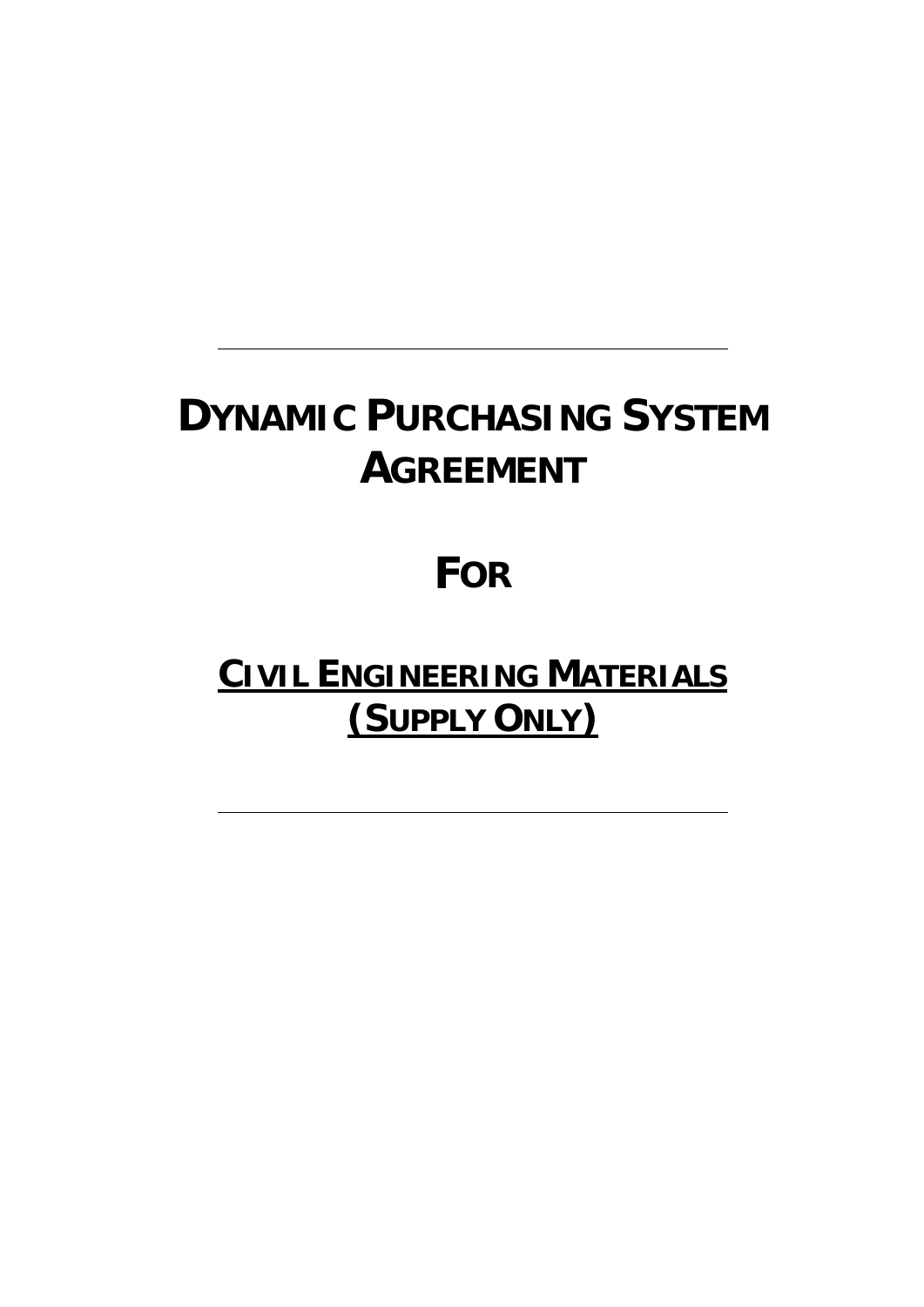# **DYNAMIC PURCHASING SYSTEM AGREEMENT**

# **FOR**

# **CIVIL ENGINEERING MATERIALS (SUPPLY ONLY)**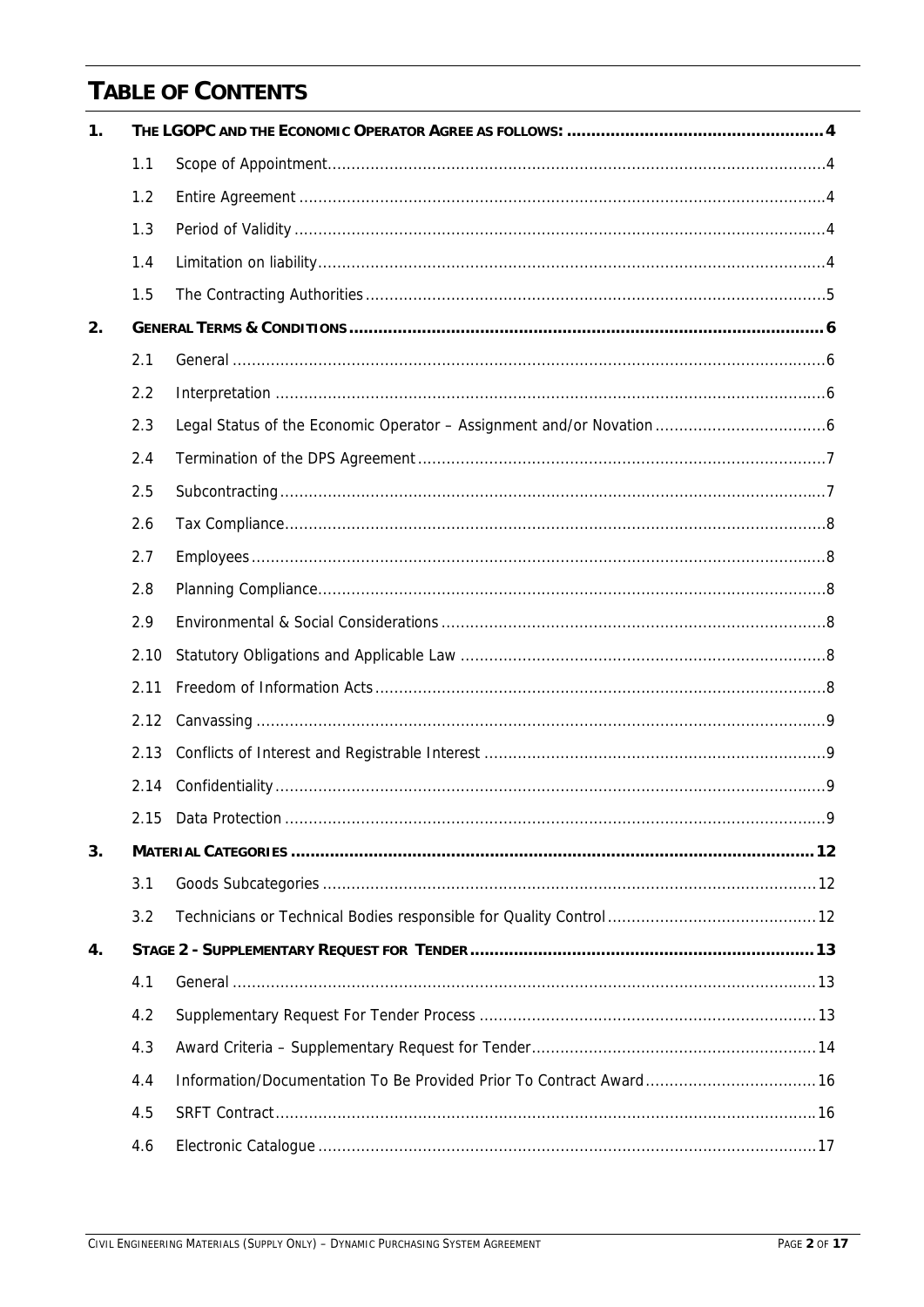# **TABLE OF CONTENTS**

| $\mathbf{1}$ . |      |                                                                     |  |  |
|----------------|------|---------------------------------------------------------------------|--|--|
|                | 1.1  |                                                                     |  |  |
|                | 1.2  |                                                                     |  |  |
|                | 1.3  |                                                                     |  |  |
|                | 1.4  |                                                                     |  |  |
|                | 1.5  |                                                                     |  |  |
| 2.             |      |                                                                     |  |  |
|                | 2.1  |                                                                     |  |  |
|                | 2.2  |                                                                     |  |  |
|                | 2.3  |                                                                     |  |  |
|                | 2.4  |                                                                     |  |  |
|                | 2.5  |                                                                     |  |  |
|                | 2.6  |                                                                     |  |  |
|                | 2.7  |                                                                     |  |  |
|                | 2.8  |                                                                     |  |  |
|                | 2.9  |                                                                     |  |  |
|                | 2.10 |                                                                     |  |  |
|                | 2.11 |                                                                     |  |  |
|                | 2.12 |                                                                     |  |  |
|                | 2.13 |                                                                     |  |  |
|                | 2.14 |                                                                     |  |  |
|                |      |                                                                     |  |  |
| 3.             |      |                                                                     |  |  |
|                | 3.1  |                                                                     |  |  |
|                | 3.2  |                                                                     |  |  |
| 4.             |      |                                                                     |  |  |
|                | 4.1  |                                                                     |  |  |
|                | 4.2  |                                                                     |  |  |
|                | 4.3  |                                                                     |  |  |
|                | 4.4  | Information/Documentation To Be Provided Prior To Contract Award 16 |  |  |
|                | 4.5  |                                                                     |  |  |
|                | 4.6  |                                                                     |  |  |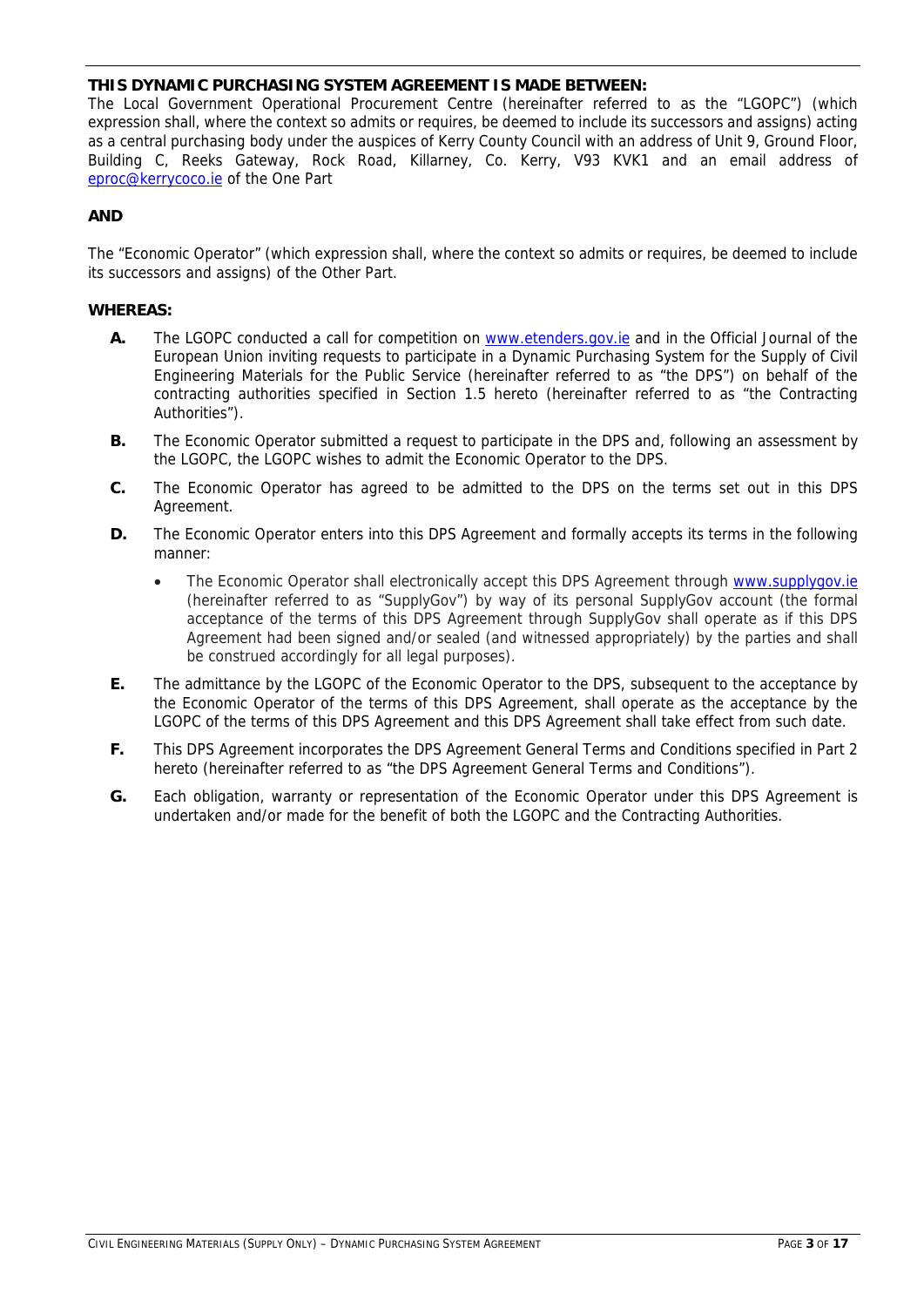# **THIS DYNAMIC PURCHASING SYSTEM AGREEMENT IS MADE BETWEEN:**

The Local Government Operational Procurement Centre (hereinafter referred to as the "LGOPC") (which expression shall, where the context so admits or requires, be deemed to include its successors and assigns) acting as a central purchasing body under the auspices of Kerry County Council with an address of Unit 9, Ground Floor, Building C, Reeks Gateway, Rock Road, Killarney, Co. Kerry, V93 KVK1 and an email address of eproc@kerrycoco.ie of the One Part

# **AND**

The "Economic Operator" (which expression shall, where the context so admits or requires, be deemed to include its successors and assigns) of the Other Part.

# **WHEREAS:**

- A. The LGOPC conducted a call for competition on www.etenders.gov.ie and in the Official Journal of the European Union inviting requests to participate in a Dynamic Purchasing System for the Supply of Civil Engineering Materials for the Public Service (hereinafter referred to as "the DPS") on behalf of the contracting authorities specified in Section 1.5 hereto (hereinafter referred to as "the Contracting Authorities").
- **B.** The Economic Operator submitted a request to participate in the DPS and, following an assessment by the LGOPC, the LGOPC wishes to admit the Economic Operator to the DPS.
- **C.** The Economic Operator has agreed to be admitted to the DPS on the terms set out in this DPS Agreement.
- **D.** The Economic Operator enters into this DPS Agreement and formally accepts its terms in the following manner:
	- The Economic Operator shall electronically accept this DPS Agreement through www.supplygov.ie (hereinafter referred to as "SupplyGov") by way of its personal SupplyGov account (the formal acceptance of the terms of this DPS Agreement through SupplyGov shall operate as if this DPS Agreement had been signed and/or sealed (and witnessed appropriately) by the parties and shall be construed accordingly for all legal purposes).
- **E.** The admittance by the LGOPC of the Economic Operator to the DPS, subsequent to the acceptance by the Economic Operator of the terms of this DPS Agreement, shall operate as the acceptance by the LGOPC of the terms of this DPS Agreement and this DPS Agreement shall take effect from such date.
- **F.** This DPS Agreement incorporates the DPS Agreement General Terms and Conditions specified in Part 2 hereto (hereinafter referred to as "the DPS Agreement General Terms and Conditions").
- **G.** Each obligation, warranty or representation of the Economic Operator under this DPS Agreement is undertaken and/or made for the benefit of both the LGOPC and the Contracting Authorities.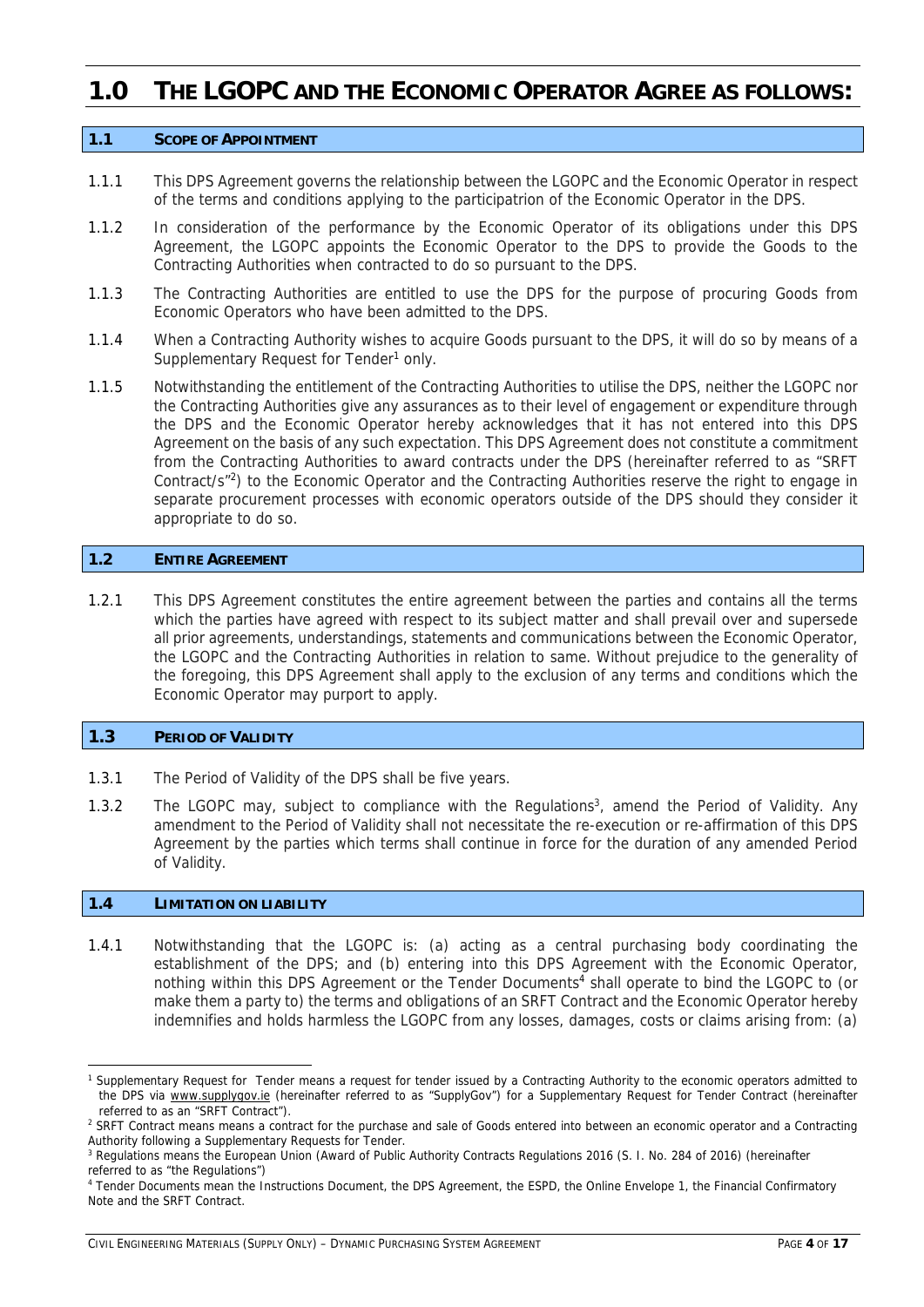# **1.0 THE LGOPC AND THE ECONOMIC OPERATOR AGREE AS FOLLOWS:**

#### **1.1 SCOPE OF APPOINTMENT**

- 1.1.1 This DPS Agreement governs the relationship between the LGOPC and the Economic Operator in respect of the terms and conditions applying to the participatrion of the Economic Operator in the DPS.
- 1.1.2 In consideration of the performance by the Economic Operator of its obligations under this DPS Agreement, the LGOPC appoints the Economic Operator to the DPS to provide the Goods to the Contracting Authorities when contracted to do so pursuant to the DPS.
- 1.1.3 The Contracting Authorities are entitled to use the DPS for the purpose of procuring Goods from Economic Operators who have been admitted to the DPS.
- 1.1.4 When a Contracting Authority wishes to acquire Goods pursuant to the DPS, it will do so by means of a Supplementary Request for Tender<sup>1</sup> only.
- 1.1.5 Notwithstanding the entitlement of the Contracting Authorities to utilise the DPS, neither the LGOPC nor the Contracting Authorities give any assurances as to their level of engagement or expenditure through the DPS and the Economic Operator hereby acknowledges that it has not entered into this DPS Agreement on the basis of any such expectation. This DPS Agreement does not constitute a commitment from the Contracting Authorities to award contracts under the DPS (hereinafter referred to as "SRFT Contract/s"2) to the Economic Operator and the Contracting Authorities reserve the right to engage in separate procurement processes with economic operators outside of the DPS should they consider it appropriate to do so.

# **1.2 ENTIRE AGREEMENT**

1.2.1 This DPS Agreement constitutes the entire agreement between the parties and contains all the terms which the parties have agreed with respect to its subject matter and shall prevail over and supersede all prior agreements, understandings, statements and communications between the Economic Operator, the LGOPC and the Contracting Authorities in relation to same. Without prejudice to the generality of the foregoing, this DPS Agreement shall apply to the exclusion of any terms and conditions which the Economic Operator may purport to apply.

#### **1.3 PERIOD OF VALIDITY**

- 1.3.1 The Period of Validity of the DPS shall be five years.
- 1.3.2 The LGOPC may, subject to compliance with the Regulations<sup>3</sup>, amend the Period of Validity. Any amendment to the Period of Validity shall not necessitate the re-execution or re-affirmation of this DPS Agreement by the parties which terms shall continue in force for the duration of any amended Period of Validity.

#### **1.4 LIMITATION ON LIABILITY**

1.4.1 Notwithstanding that the LGOPC is: (a) acting as a central purchasing body coordinating the establishment of the DPS; and (b) entering into this DPS Agreement with the Economic Operator, nothing within this DPS Agreement or the Tender Documents<sup>4</sup> shall operate to bind the LGOPC to (or make them a party to) the terms and obligations of an SRFT Contract and the Economic Operator hereby indemnifies and holds harmless the LGOPC from any losses, damages, costs or claims arising from: (a)

<sup>1</sup> Supplementary Request for Tender means a request for tender issued by a Contracting Authority to the economic operators admitted to the DPS via www.supplygov.ie (hereinafter referred to as "SupplyGov") for a Supplementary Request for Tender Contract (hereinafter referred to as an "SRFT Contract").

<sup>&</sup>lt;sup>2</sup> SRFT Contract means means a contract for the purchase and sale of Goods entered into between an economic operator and a Contracting Authority following a Supplementary Requests for Tender.

<sup>&</sup>lt;sup>3</sup> Regulations means the European Union (Award of Public Authority Contracts Regulations 2016 (S. I. No. 284 of 2016) (hereinafter referred to as "the Regulations")

<sup>4</sup> Tender Documents mean the Instructions Document, the DPS Agreement, the ESPD, the Online Envelope 1, the Financial Confirmatory Note and the SRFT Contract.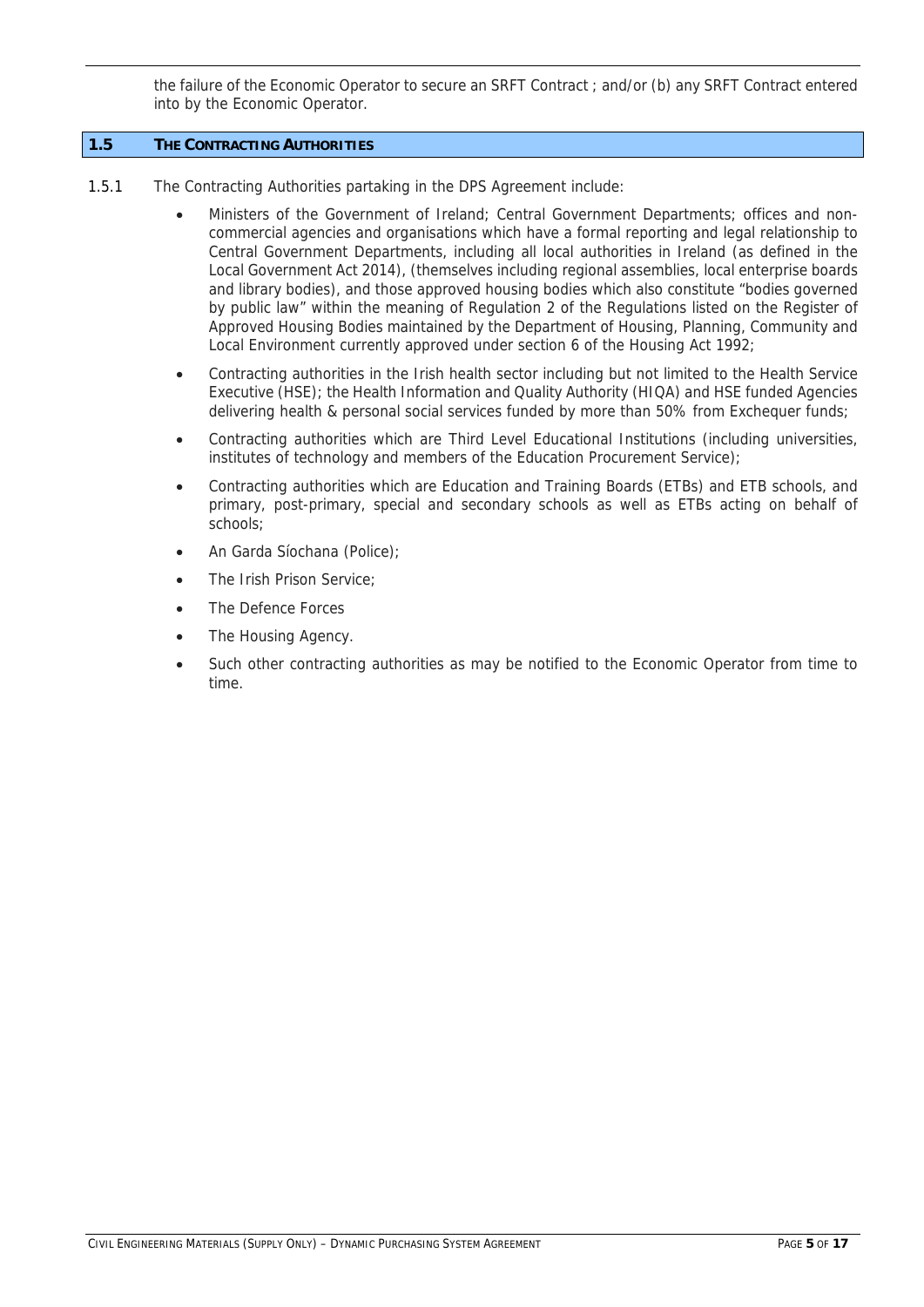the failure of the Economic Operator to secure an SRFT Contract ; and/or (b) any SRFT Contract entered into by the Economic Operator.

# **1.5 THE CONTRACTING AUTHORITIES**

- 1.5.1 The Contracting Authorities partaking in the DPS Agreement include:
	- Ministers of the Government of Ireland; Central Government Departments; offices and noncommercial agencies and organisations which have a formal reporting and legal relationship to Central Government Departments, including all local authorities in Ireland (as defined in the Local Government Act 2014), (themselves including regional assemblies, local enterprise boards and library bodies), and those approved housing bodies which also constitute "bodies governed by public law" within the meaning of Regulation 2 of the Regulations listed on the Register of Approved Housing Bodies maintained by the Department of Housing, Planning, Community and Local Environment currently approved under section 6 of the Housing Act 1992;
	- Contracting authorities in the Irish health sector including but not limited to the Health Service Executive (HSE); the Health Information and Quality Authority (HIQA) and HSE funded Agencies delivering health & personal social services funded by more than 50% from Exchequer funds;
	- Contracting authorities which are Third Level Educational Institutions (including universities, institutes of technology and members of the Education Procurement Service);
	- Contracting authorities which are Education and Training Boards (ETBs) and ETB schools, and primary, post-primary, special and secondary schools as well as ETBs acting on behalf of schools;
	- An Garda Síochana (Police);
	- The Irish Prison Service;
	- The Defence Forces
	- The Housing Agency.
	- Such other contracting authorities as may be notified to the Economic Operator from time to time.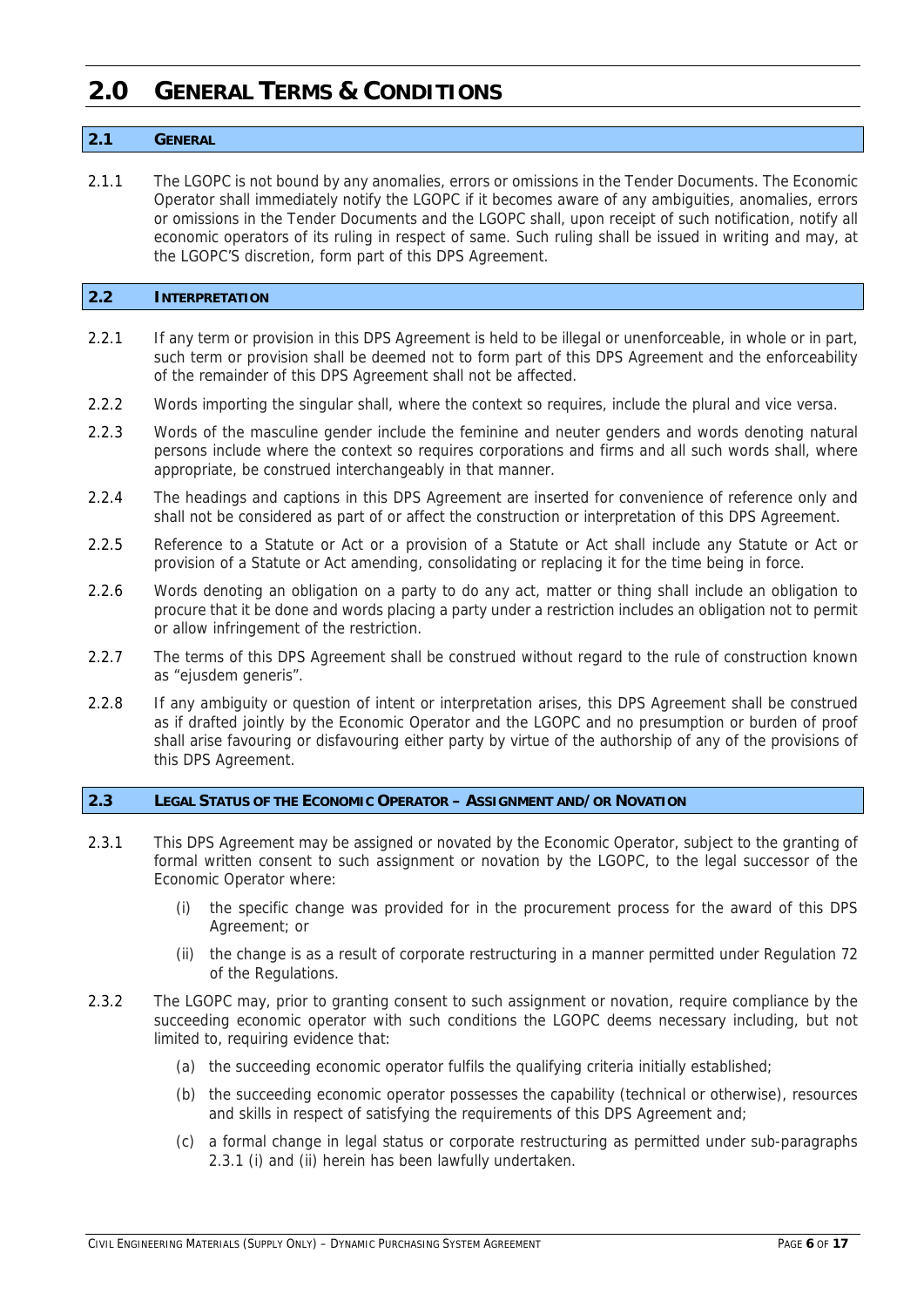# **2.0 GENERAL TERMS & CONDITIONS**

# **2.1 GENERAL**

2.1.1 The LGOPC is not bound by any anomalies, errors or omissions in the Tender Documents. The Economic Operator shall immediately notify the LGOPC if it becomes aware of any ambiguities, anomalies, errors or omissions in the Tender Documents and the LGOPC shall, upon receipt of such notification, notify all economic operators of its ruling in respect of same. Such ruling shall be issued in writing and may, at the LGOPC'S discretion, form part of this DPS Agreement.

# **2.2 INTERPRETATION**

- 2.2.1 If any term or provision in this DPS Agreement is held to be illegal or unenforceable, in whole or in part, such term or provision shall be deemed not to form part of this DPS Agreement and the enforceability of the remainder of this DPS Agreement shall not be affected.
- 2.2.2 Words importing the singular shall, where the context so requires, include the plural and vice versa.
- 2.2.3 Words of the masculine gender include the feminine and neuter genders and words denoting natural persons include where the context so requires corporations and firms and all such words shall, where appropriate, be construed interchangeably in that manner.
- 2.2.4 The headings and captions in this DPS Agreement are inserted for convenience of reference only and shall not be considered as part of or affect the construction or interpretation of this DPS Agreement.
- 2.2.5 Reference to a Statute or Act or a provision of a Statute or Act shall include any Statute or Act or provision of a Statute or Act amending, consolidating or replacing it for the time being in force.
- 2.2.6 Words denoting an obligation on a party to do any act, matter or thing shall include an obligation to procure that it be done and words placing a party under a restriction includes an obligation not to permit or allow infringement of the restriction.
- 2.2.7 The terms of this DPS Agreement shall be construed without regard to the rule of construction known as "eiusdem generis".
- 2.2.8 If any ambiguity or question of intent or interpretation arises, this DPS Agreement shall be construed as if drafted jointly by the Economic Operator and the LGOPC and no presumption or burden of proof shall arise favouring or disfavouring either party by virtue of the authorship of any of the provisions of this DPS Agreement.

#### **2.3 LEGAL STATUS OF THE ECONOMIC OPERATOR – ASSIGNMENT AND/OR NOVATION**

- 2.3.1 This DPS Agreement may be assigned or novated by the Economic Operator, subject to the granting of formal written consent to such assignment or novation by the LGOPC, to the legal successor of the Economic Operator where:
	- (i) the specific change was provided for in the procurement process for the award of this DPS Agreement; or
	- (ii) the change is as a result of corporate restructuring in a manner permitted under Regulation 72 of the Regulations.
- 2.3.2 The LGOPC may, prior to granting consent to such assignment or novation, require compliance by the succeeding economic operator with such conditions the LGOPC deems necessary including, but not limited to, requiring evidence that:
	- (a) the succeeding economic operator fulfils the qualifying criteria initially established;
	- (b) the succeeding economic operator possesses the capability (technical or otherwise), resources and skills in respect of satisfying the requirements of this DPS Agreement and;
	- (c) a formal change in legal status or corporate restructuring as permitted under sub-paragraphs 2.3.1 (i) and (ii) herein has been lawfully undertaken.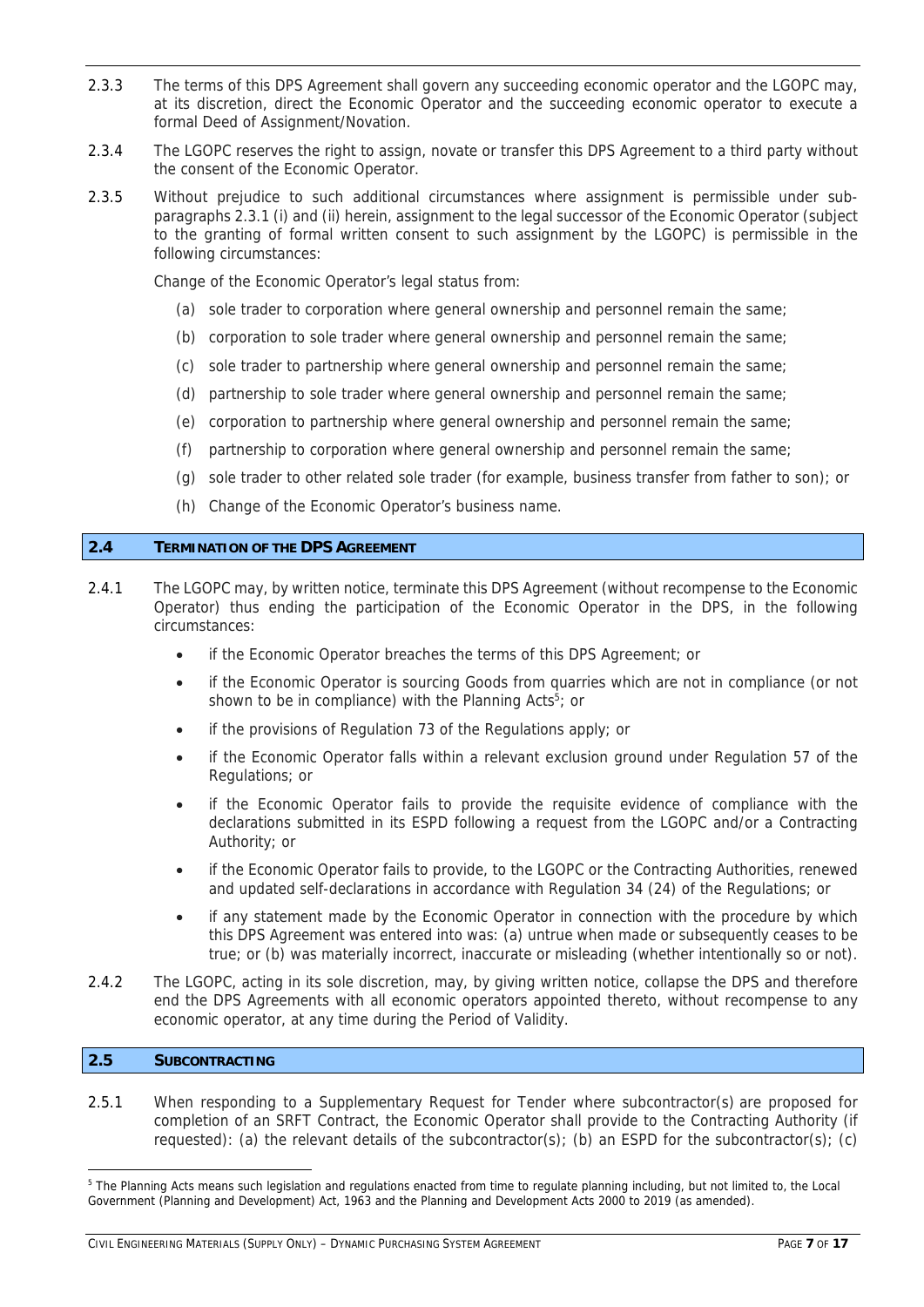- 2.3.3 The terms of this DPS Agreement shall govern any succeeding economic operator and the LGOPC may, at its discretion, direct the Economic Operator and the succeeding economic operator to execute a formal Deed of Assignment/Novation.
- 2.3.4 The LGOPC reserves the right to assign, novate or transfer this DPS Agreement to a third party without the consent of the Economic Operator.
- 2.3.5 Without prejudice to such additional circumstances where assignment is permissible under subparagraphs 2.3.1 (i) and (ii) herein, assignment to the legal successor of the Economic Operator (subject to the granting of formal written consent to such assignment by the LGOPC) is permissible in the following circumstances:

Change of the Economic Operator's legal status from:

- (a) sole trader to corporation where general ownership and personnel remain the same;
- (b) corporation to sole trader where general ownership and personnel remain the same;
- (c) sole trader to partnership where general ownership and personnel remain the same;
- (d) partnership to sole trader where general ownership and personnel remain the same;
- (e) corporation to partnership where general ownership and personnel remain the same;
- (f) partnership to corporation where general ownership and personnel remain the same;
- (g) sole trader to other related sole trader (for example, business transfer from father to son); or
- (h) Change of the Economic Operator's business name.

# **2.4 TERMINATION OF THE DPS AGREEMENT**

- 2.4.1 The LGOPC may, by written notice, terminate this DPS Agreement (without recompense to the Economic Operator) thus ending the participation of the Economic Operator in the DPS, in the following circumstances:
	- if the Economic Operator breaches the terms of this DPS Agreement; or
	- if the Economic Operator is sourcing Goods from quarries which are not in compliance (or not shown to be in compliance) with the Planning Acts<sup>5</sup>; or
	- if the provisions of Regulation 73 of the Regulations apply; or
	- if the Economic Operator falls within a relevant exclusion ground under Regulation 57 of the Regulations; or
	- if the Economic Operator fails to provide the requisite evidence of compliance with the declarations submitted in its ESPD following a request from the LGOPC and/or a Contracting Authority; or
	- if the Economic Operator fails to provide, to the LGOPC or the Contracting Authorities, renewed and updated self-declarations in accordance with Regulation 34 (24) of the Regulations; or
	- if any statement made by the Economic Operator in connection with the procedure by which this DPS Agreement was entered into was: (a) untrue when made or subsequently ceases to be true; or (b) was materially incorrect, inaccurate or misleading (whether intentionally so or not).
- 2.4.2 The LGOPC, acting in its sole discretion, may, by giving written notice, collapse the DPS and therefore end the DPS Agreements with all economic operators appointed thereto, without recompense to any economic operator, at any time during the Period of Validity.

# **2.5 SUBCONTRACTING**

2.5.1 When responding to a Supplementary Request for Tender where subcontractor(s) are proposed for completion of an SRFT Contract, the Economic Operator shall provide to the Contracting Authority (if requested): (a) the relevant details of the subcontractor(s); (b) an ESPD for the subcontractor(s); (c)

<sup>&</sup>lt;sup>5</sup> The Planning Acts means such legislation and regulations enacted from time to regulate planning including, but not limited to, the Local Government (Planning and Development) Act, 1963 and the Planning and Development Acts 2000 to 2019 (as amended).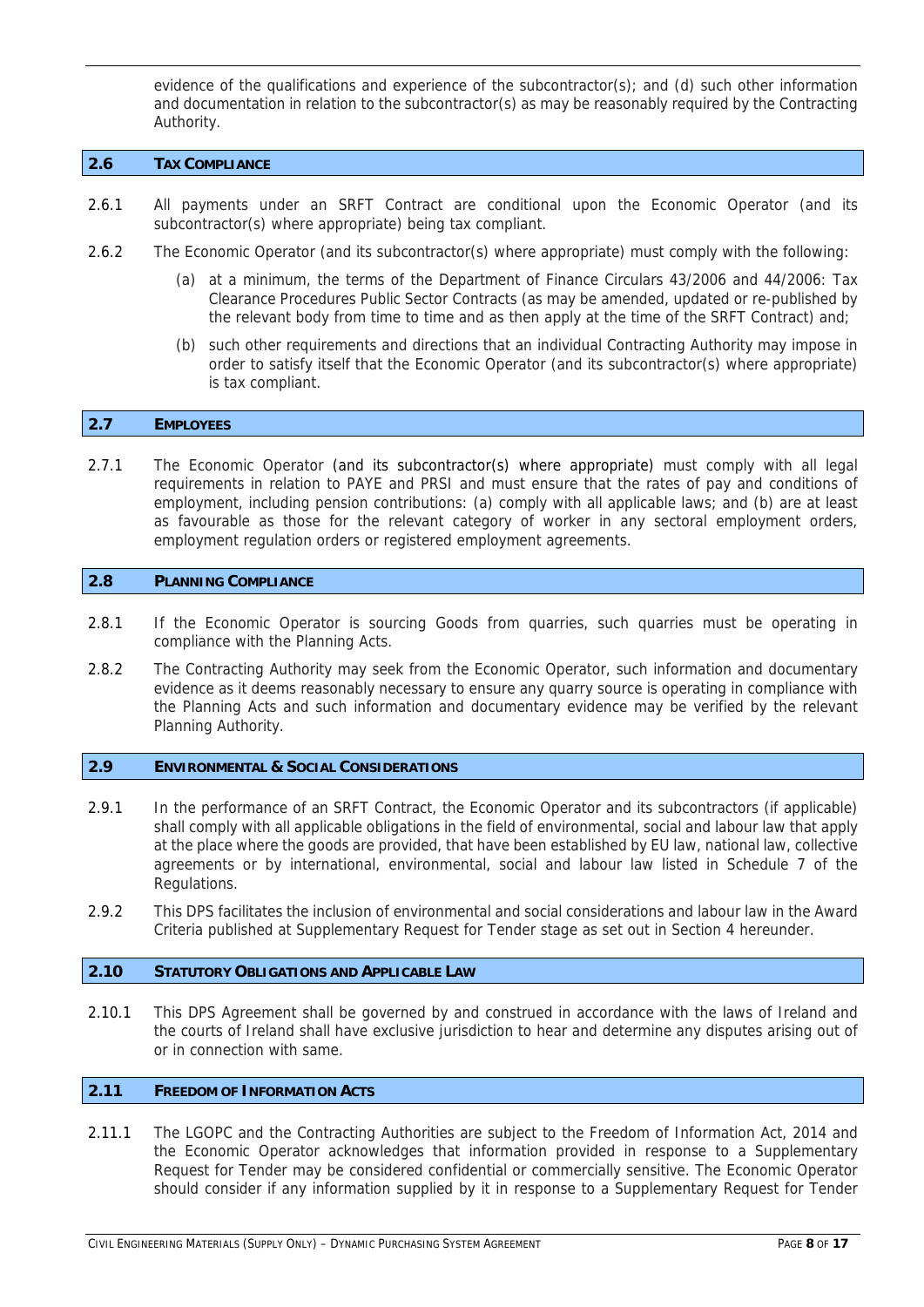evidence of the qualifications and experience of the subcontractor(s); and (d) such other information and documentation in relation to the subcontractor(s) as may be reasonably required by the Contracting Authority.

# **2.6 TAX COMPLIANCE**

- 2.6.1 All payments under an SRFT Contract are conditional upon the Economic Operator (and its subcontractor(s) where appropriate) being tax compliant.
- 2.6.2 The Economic Operator (and its subcontractor(s) where appropriate) must comply with the following:
	- (a) at a minimum, the terms of the Department of Finance Circulars 43/2006 and 44/2006: Tax Clearance Procedures Public Sector Contracts (as may be amended, updated or re-published by the relevant body from time to time and as then apply at the time of the SRFT Contract) and;
	- (b) such other requirements and directions that an individual Contracting Authority may impose in order to satisfy itself that the Economic Operator (and its subcontractor(s) where appropriate) is tax compliant.

#### **2.7 EMPLOYEES**

2.7.1 The Economic Operator (and its subcontractor(s) where appropriate) must comply with all legal requirements in relation to PAYE and PRSI and must ensure that the rates of pay and conditions of employment, including pension contributions: (a) comply with all applicable laws; and (b) are at least as favourable as those for the relevant category of worker in any sectoral employment orders, employment regulation orders or registered employment agreements.

#### **2.8 PLANNING COMPLIANCE**

- 2.8.1 If the Economic Operator is sourcing Goods from quarries, such quarries must be operating in compliance with the Planning Acts.
- 2.8.2 The Contracting Authority may seek from the Economic Operator, such information and documentary evidence as it deems reasonably necessary to ensure any quarry source is operating in compliance with the Planning Acts and such information and documentary evidence may be verified by the relevant Planning Authority.

#### **2.9 ENVIRONMENTAL & SOCIAL CONSIDERATIONS**

- 2.9.1 In the performance of an SRFT Contract, the Economic Operator and its subcontractors (if applicable) shall comply with all applicable obligations in the field of environmental, social and labour law that apply at the place where the goods are provided, that have been established by EU law, national law, collective agreements or by international, environmental, social and labour law listed in Schedule 7 of the Regulations.
- 2.9.2 This DPS facilitates the inclusion of environmental and social considerations and labour law in the Award Criteria published at Supplementary Request for Tender stage as set out in Section 4 hereunder.

#### **2.10 STATUTORY OBLIGATIONS AND APPLICABLE LAW**

2.10.1 This DPS Agreement shall be governed by and construed in accordance with the laws of Ireland and the courts of Ireland shall have exclusive jurisdiction to hear and determine any disputes arising out of or in connection with same.

#### **2.11 FREEDOM OF INFORMATION ACTS**

2.11.1 The LGOPC and the Contracting Authorities are subject to the Freedom of Information Act, 2014 and the Economic Operator acknowledges that information provided in response to a Supplementary Request for Tender may be considered confidential or commercially sensitive. The Economic Operator should consider if any information supplied by it in response to a Supplementary Request for Tender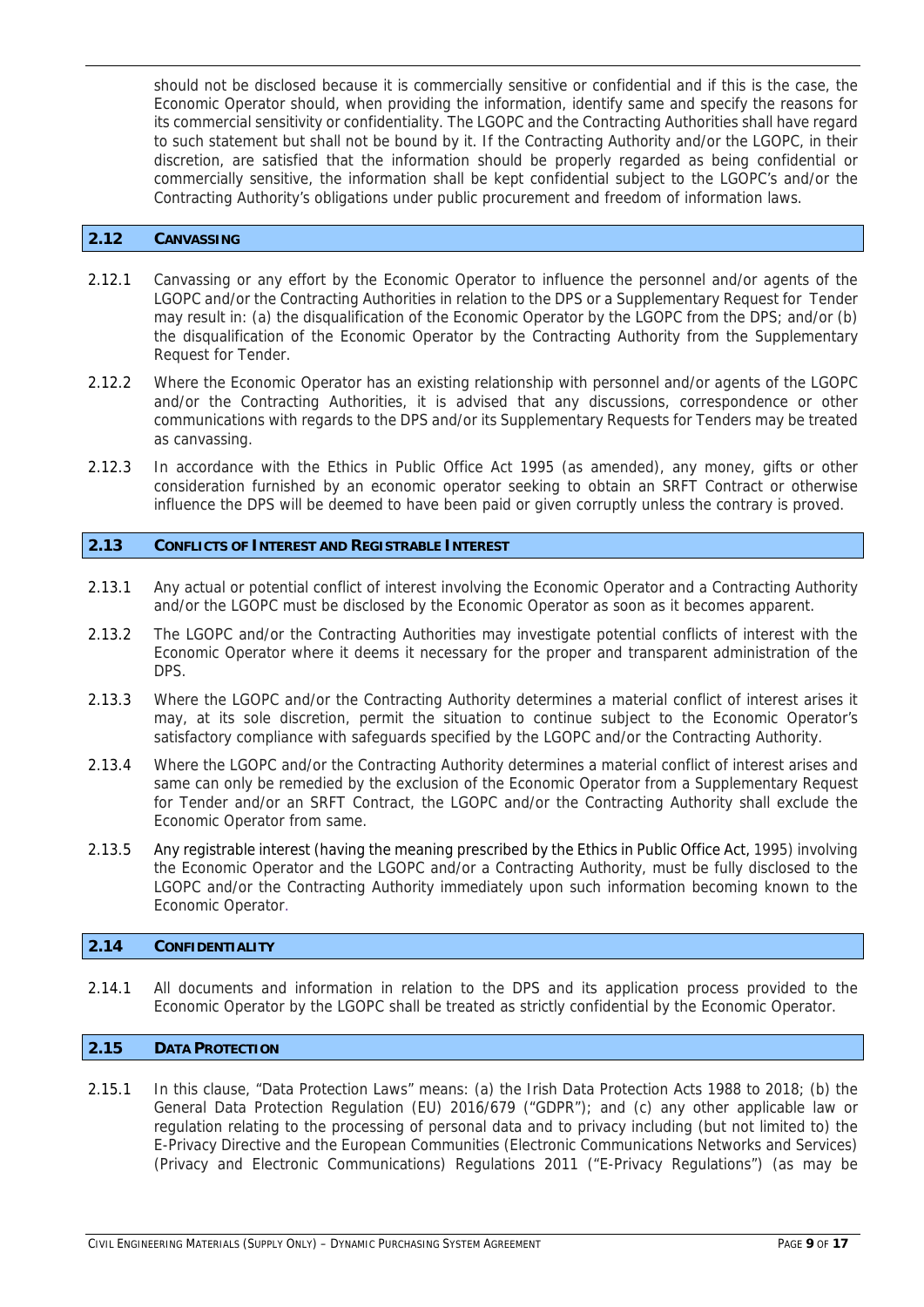should not be disclosed because it is commercially sensitive or confidential and if this is the case, the Economic Operator should, when providing the information, identify same and specify the reasons for its commercial sensitivity or confidentiality. The LGOPC and the Contracting Authorities shall have regard to such statement but shall not be bound by it. If the Contracting Authority and/or the LGOPC, in their discretion, are satisfied that the information should be properly regarded as being confidential or commercially sensitive, the information shall be kept confidential subject to the LGOPC's and/or the Contracting Authority's obligations under public procurement and freedom of information laws.

#### **2.12 CANVASSING**

- 2.12.1 Canvassing or any effort by the Economic Operator to influence the personnel and/or agents of the LGOPC and/or the Contracting Authorities in relation to the DPS or a Supplementary Request for Tender may result in: (a) the disqualification of the Economic Operator by the LGOPC from the DPS; and/or (b) the disqualification of the Economic Operator by the Contracting Authority from the Supplementary Request for Tender.
- 2.12.2 Where the Economic Operator has an existing relationship with personnel and/or agents of the LGOPC and/or the Contracting Authorities, it is advised that any discussions, correspondence or other communications with regards to the DPS and/or its Supplementary Requests for Tenders may be treated as canvassing.
- 2.12.3 In accordance with the Ethics in Public Office Act 1995 (as amended), any money, gifts or other consideration furnished by an economic operator seeking to obtain an SRFT Contract or otherwise influence the DPS will be deemed to have been paid or given corruptly unless the contrary is proved.

#### **2.13 CONFLICTS OF INTEREST AND REGISTRABLE INTEREST**

- 2.13.1 Any actual or potential conflict of interest involving the Economic Operator and a Contracting Authority and/or the LGOPC must be disclosed by the Economic Operator as soon as it becomes apparent.
- 2.13.2 The LGOPC and/or the Contracting Authorities may investigate potential conflicts of interest with the Economic Operator where it deems it necessary for the proper and transparent administration of the DPS.
- 2.13.3 Where the LGOPC and/or the Contracting Authority determines a material conflict of interest arises it may, at its sole discretion, permit the situation to continue subject to the Economic Operator's satisfactory compliance with safeguards specified by the LGOPC and/or the Contracting Authority.
- 2.13.4 Where the LGOPC and/or the Contracting Authority determines a material conflict of interest arises and same can only be remedied by the exclusion of the Economic Operator from a Supplementary Request for Tender and/or an SRFT Contract, the LGOPC and/or the Contracting Authority shall exclude the Economic Operator from same.
- 2.13.5 Any registrable interest (having the meaning prescribed by the Ethics in Public Office Act, 1995) involving the Economic Operator and the LGOPC and/or a Contracting Authority, must be fully disclosed to the LGOPC and/or the Contracting Authority immediately upon such information becoming known to the Economic Operator.

#### **2.14 CONFIDENTIALITY**

2.14.1 All documents and information in relation to the DPS and its application process provided to the Economic Operator by the LGOPC shall be treated as strictly confidential by the Economic Operator.

# **2.15 DATA PROTECTION**

2.15.1 In this clause, "Data Protection Laws" means: (a) the Irish Data Protection Acts 1988 to 2018; (b) the General Data Protection Regulation (EU) 2016/679 ("GDPR"); and (c) any other applicable law or regulation relating to the processing of personal data and to privacy including (but not limited to) the E-Privacy Directive and the European Communities (Electronic Communications Networks and Services) (Privacy and Electronic Communications) Regulations 2011 ("E-Privacy Regulations") (as may be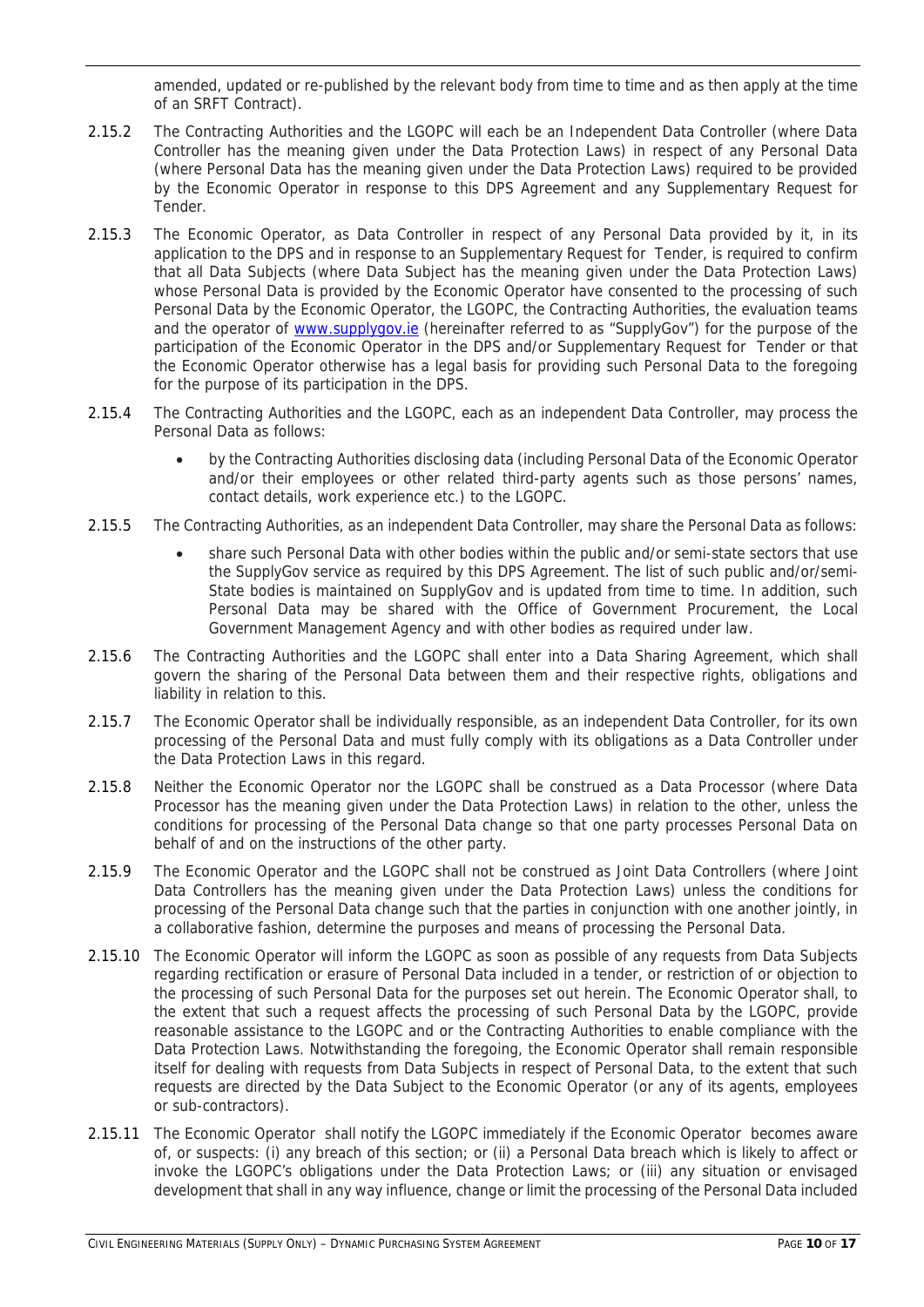amended, updated or re-published by the relevant body from time to time and as then apply at the time of an SRFT Contract).

- 2.15.2 The Contracting Authorities and the LGOPC will each be an Independent Data Controller (where Data Controller has the meaning given under the Data Protection Laws) in respect of any Personal Data (where Personal Data has the meaning given under the Data Protection Laws) required to be provided by the Economic Operator in response to this DPS Agreement and any Supplementary Request for Tender.
- 2.15.3 The Economic Operator, as Data Controller in respect of any Personal Data provided by it, in its application to the DPS and in response to an Supplementary Request for Tender, is required to confirm that all Data Subjects (where Data Subject has the meaning given under the Data Protection Laws) whose Personal Data is provided by the Economic Operator have consented to the processing of such Personal Data by the Economic Operator, the LGOPC, the Contracting Authorities, the evaluation teams and the operator of www.supplygov.ie (hereinafter referred to as "SupplyGov") for the purpose of the participation of the Economic Operator in the DPS and/or Supplementary Request for Tender or that the Economic Operator otherwise has a legal basis for providing such Personal Data to the foregoing for the purpose of its participation in the DPS.
- 2.15.4 The Contracting Authorities and the LGOPC, each as an independent Data Controller, may process the Personal Data as follows:
	- by the Contracting Authorities disclosing data (including Personal Data of the Economic Operator and/or their employees or other related third-party agents such as those persons' names, contact details, work experience etc.) to the LGOPC.
- 2.15.5 The Contracting Authorities, as an independent Data Controller, may share the Personal Data as follows:
	- share such Personal Data with other bodies within the public and/or semi-state sectors that use the SupplyGov service as required by this DPS Agreement. The list of such public and/or/semi-State bodies is maintained on SupplyGov and is updated from time to time. In addition, such Personal Data may be shared with the Office of Government Procurement, the Local Government Management Agency and with other bodies as required under law.
- 2.15.6 The Contracting Authorities and the LGOPC shall enter into a Data Sharing Agreement, which shall govern the sharing of the Personal Data between them and their respective rights, obligations and liability in relation to this.
- 2.15.7 The Economic Operator shall be individually responsible, as an independent Data Controller, for its own processing of the Personal Data and must fully comply with its obligations as a Data Controller under the Data Protection Laws in this regard.
- 2.15.8 Neither the Economic Operator nor the LGOPC shall be construed as a Data Processor (where Data Processor has the meaning given under the Data Protection Laws) in relation to the other, unless the conditions for processing of the Personal Data change so that one party processes Personal Data on behalf of and on the instructions of the other party.
- 2.15.9 The Economic Operator and the LGOPC shall not be construed as Joint Data Controllers (where Joint Data Controllers has the meaning given under the Data Protection Laws) unless the conditions for processing of the Personal Data change such that the parties in conjunction with one another jointly, in a collaborative fashion, determine the purposes and means of processing the Personal Data.
- 2.15.10 The Economic Operator will inform the LGOPC as soon as possible of any requests from Data Subjects regarding rectification or erasure of Personal Data included in a tender, or restriction of or objection to the processing of such Personal Data for the purposes set out herein. The Economic Operator shall, to the extent that such a request affects the processing of such Personal Data by the LGOPC, provide reasonable assistance to the LGOPC and or the Contracting Authorities to enable compliance with the Data Protection Laws. Notwithstanding the foregoing, the Economic Operator shall remain responsible itself for dealing with requests from Data Subjects in respect of Personal Data, to the extent that such requests are directed by the Data Subject to the Economic Operator (or any of its agents, employees or sub-contractors).
- 2.15.11 The Economic Operator shall notify the LGOPC immediately if the Economic Operator becomes aware of, or suspects: (i) any breach of this section; or (ii) a Personal Data breach which is likely to affect or invoke the LGOPC's obligations under the Data Protection Laws; or (iii) any situation or envisaged development that shall in any way influence, change or limit the processing of the Personal Data included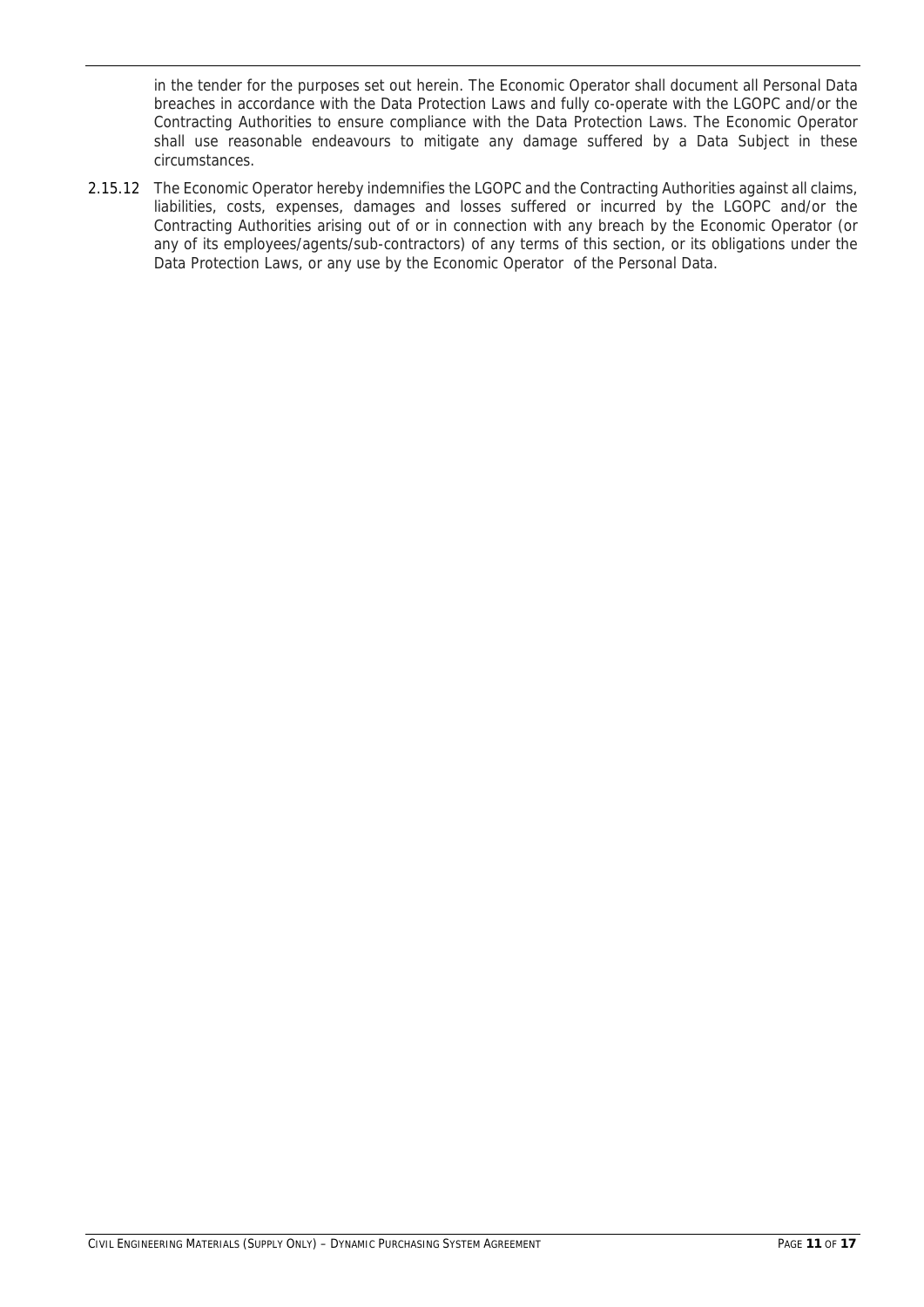in the tender for the purposes set out herein. The Economic Operator shall document all Personal Data breaches in accordance with the Data Protection Laws and fully co-operate with the LGOPC and/or the Contracting Authorities to ensure compliance with the Data Protection Laws. The Economic Operator shall use reasonable endeavours to mitigate any damage suffered by a Data Subject in these circumstances.

2.15.12 The Economic Operator hereby indemnifies the LGOPC and the Contracting Authorities against all claims, liabilities, costs, expenses, damages and losses suffered or incurred by the LGOPC and/or the Contracting Authorities arising out of or in connection with any breach by the Economic Operator (or any of its employees/agents/sub-contractors) of any terms of this section, or its obligations under the Data Protection Laws, or any use by the Economic Operator of the Personal Data.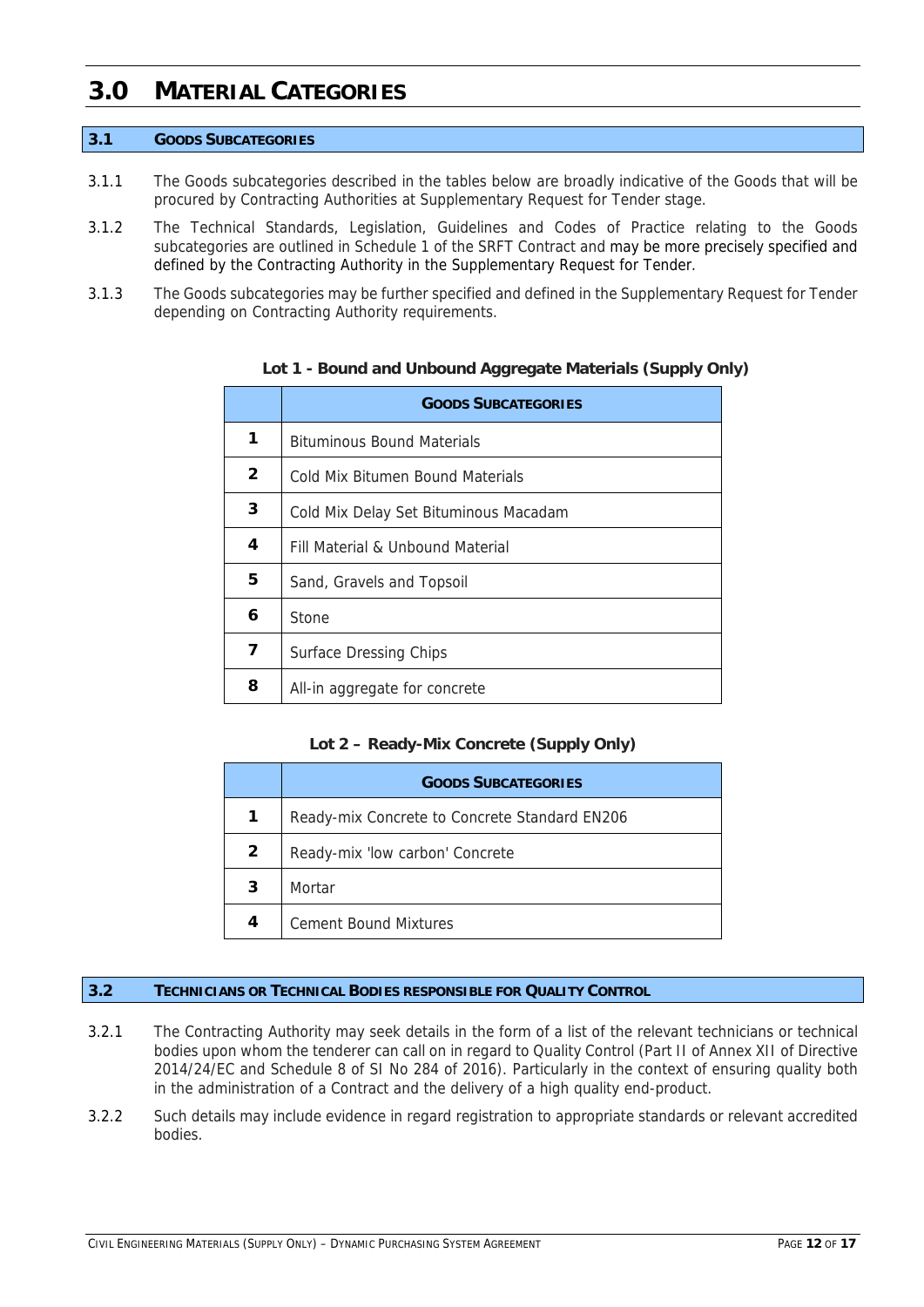# **3.0 MATERIAL CATEGORIES**

# **3.1 GOODS SUBCATEGORIES**

- 3.1.1 The Goods subcategories described in the tables below are broadly indicative of the Goods that will be procured by Contracting Authorities at Supplementary Request for Tender stage.
- 3.1.2 The Technical Standards, Legislation, Guidelines and Codes of Practice relating to the Goods subcategories are outlined in Schedule 1 of the SRFT Contract and may be more precisely specified and defined by the Contracting Authority in the Supplementary Request for Tender.
- 3.1.3 The Goods subcategories may be further specified and defined in the Supplementary Request for Tender depending on Contracting Authority requirements.

|              | <b>GOODS SUBCATEGORIES</b>            |
|--------------|---------------------------------------|
|              | <b>Bituminous Bound Materials</b>     |
| $\mathbf{2}$ | Cold Mix Bitumen Bound Materials      |
| 3            | Cold Mix Delay Set Bituminous Macadam |
| 4            | Fill Material & Unbound Material      |
| 5            | Sand, Gravels and Topsoil             |
| 6            | Stone                                 |
| 7            | <b>Surface Dressing Chips</b>         |
| 8            | All-in aggregate for concrete         |

**Lot 1 - Bound and Unbound Aggregate Materials (Supply Only)** 

# **Lot 2 – Ready-Mix Concrete (Supply Only)**

|                | <b>GOODS SUBCATEGORIES</b>                    |
|----------------|-----------------------------------------------|
| 1              | Ready-mix Concrete to Concrete Standard EN206 |
| $\overline{2}$ | Ready-mix 'low carbon' Concrete               |
| 3              | Mortar                                        |
| 4              | <b>Cement Bound Mixtures</b>                  |

## **3.2 TECHNICIANS OR TECHNICAL BODIES RESPONSIBLE FOR QUALITY CONTROL**

- 3.2.1 The Contracting Authority may seek details in the form of a list of the relevant technicians or technical bodies upon whom the tenderer can call on in regard to Quality Control (Part II of Annex XII of Directive 2014/24/EC and Schedule 8 of SI No 284 of 2016). Particularly in the context of ensuring quality both in the administration of a Contract and the delivery of a high quality end-product.
- 3.2.2 Such details may include evidence in regard registration to appropriate standards or relevant accredited bodies.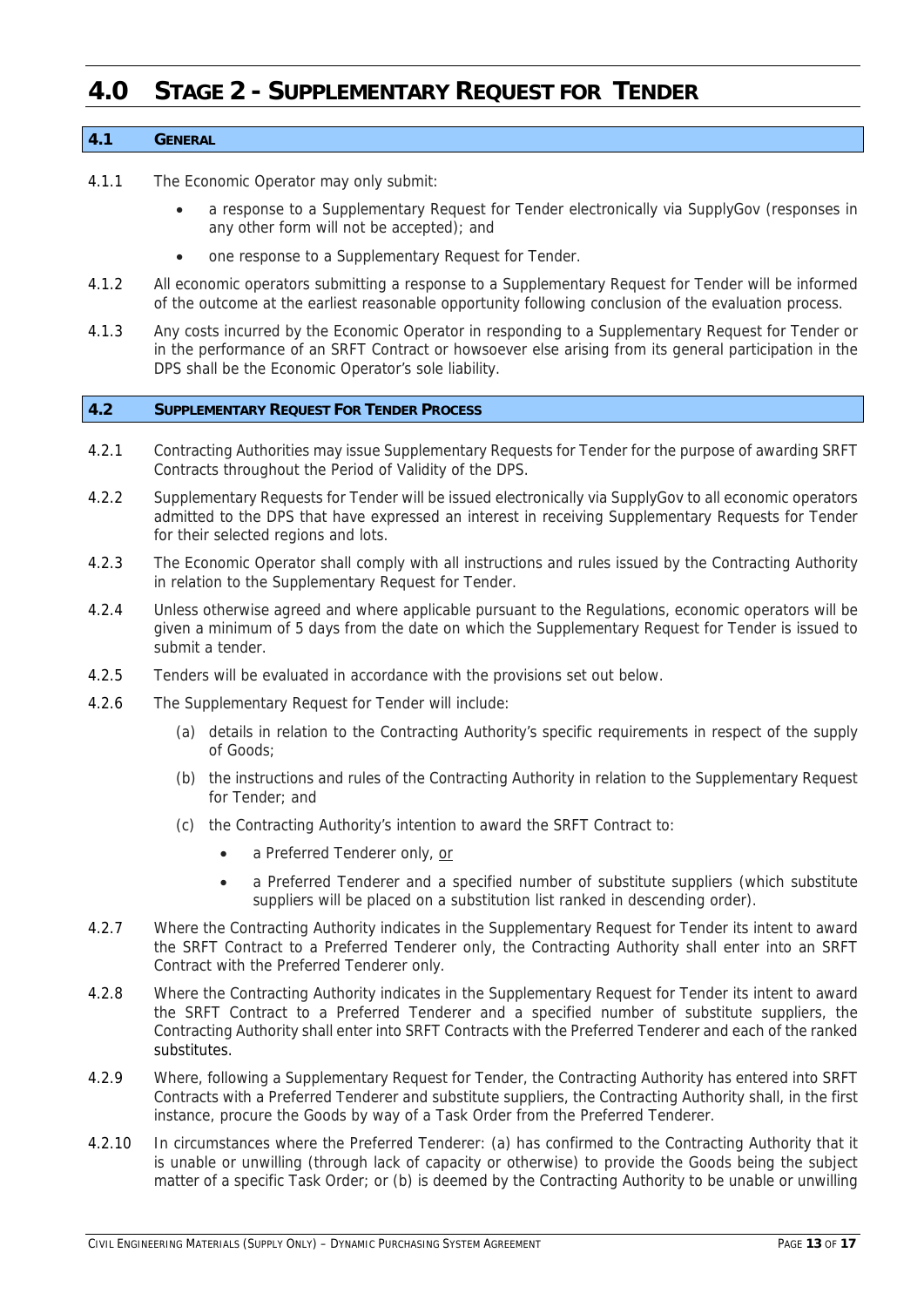# **4.0 STAGE 2 - SUPPLEMENTARY REQUEST FOR TENDER**

# **4.1 GENERAL**

- 4.1.1 The Economic Operator may only submit:
	- a response to a Supplementary Request for Tender electronically via SupplyGov (responses in any other form will not be accepted); and
	- one response to a Supplementary Request for Tender.
- 4.1.2 All economic operators submitting a response to a Supplementary Request for Tender will be informed of the outcome at the earliest reasonable opportunity following conclusion of the evaluation process.
- 4.1.3 Any costs incurred by the Economic Operator in responding to a Supplementary Request for Tender or in the performance of an SRFT Contract or howsoever else arising from its general participation in the DPS shall be the Economic Operator's sole liability.

#### **4.2 SUPPLEMENTARY REQUEST FOR TENDER PROCESS**

- 4.2.1 Contracting Authorities may issue Supplementary Requests for Tender for the purpose of awarding SRFT Contracts throughout the Period of Validity of the DPS.
- 4.2.2 Supplementary Requests for Tender will be issued electronically via SupplyGov to all economic operators admitted to the DPS that have expressed an interest in receiving Supplementary Requests for Tender for their selected regions and lots.
- 4.2.3 The Economic Operator shall comply with all instructions and rules issued by the Contracting Authority in relation to the Supplementary Request for Tender.
- 4.2.4 Unless otherwise agreed and where applicable pursuant to the Regulations, economic operators will be given a minimum of 5 days from the date on which the Supplementary Request for Tender is issued to submit a tender.
- 4.2.5 Tenders will be evaluated in accordance with the provisions set out below.
- 4.2.6 The Supplementary Request for Tender will include:
	- (a) details in relation to the Contracting Authority's specific requirements in respect of the supply of Goods;
	- (b) the instructions and rules of the Contracting Authority in relation to the Supplementary Request for Tender; and
	- (c) the Contracting Authority's intention to award the SRFT Contract to:
		- a Preferred Tenderer only, or
		- a Preferred Tenderer and a specified number of substitute suppliers (which substitute suppliers will be placed on a substitution list ranked in descending order).
- 4.2.7 Where the Contracting Authority indicates in the Supplementary Request for Tender its intent to award the SRFT Contract to a Preferred Tenderer only, the Contracting Authority shall enter into an SRFT Contract with the Preferred Tenderer only.
- 4.2.8 Where the Contracting Authority indicates in the Supplementary Request for Tender its intent to award the SRFT Contract to a Preferred Tenderer and a specified number of substitute suppliers, the Contracting Authority shall enter into SRFT Contracts with the Preferred Tenderer and each of the ranked substitutes.
- 4.2.9 Where, following a Supplementary Request for Tender, the Contracting Authority has entered into SRFT Contracts with a Preferred Tenderer and substitute suppliers, the Contracting Authority shall, in the first instance, procure the Goods by way of a Task Order from the Preferred Tenderer.
- 4.2.10 In circumstances where the Preferred Tenderer: (a) has confirmed to the Contracting Authority that it is unable or unwilling (through lack of capacity or otherwise) to provide the Goods being the subject matter of a specific Task Order; or (b) is deemed by the Contracting Authority to be unable or unwilling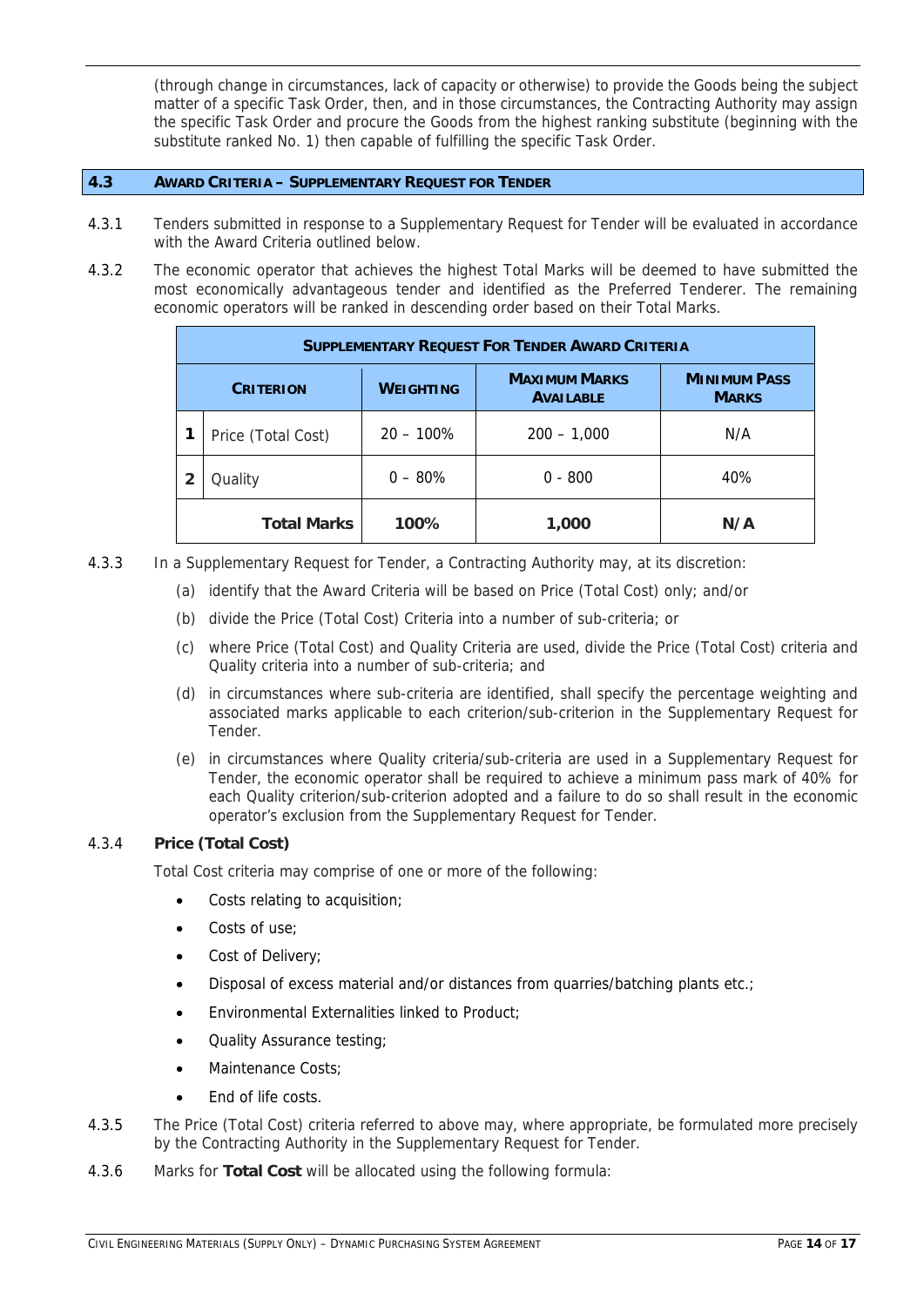(through change in circumstances, lack of capacity or otherwise) to provide the Goods being the subject matter of a specific Task Order, then, and in those circumstances, the Contracting Authority may assign the specific Task Order and procure the Goods from the highest ranking substitute (beginning with the substitute ranked No. 1) then capable of fulfilling the specific Task Order.

# **4.3 AWARD CRITERIA – SUPPLEMENTARY REQUEST FOR TENDER**

- 4.3.1 Tenders submitted in response to a Supplementary Request for Tender will be evaluated in accordance with the Award Criteria outlined below.
- 4.3.2 The economic operator that achieves the highest Total Marks will be deemed to have submitted the most economically advantageous tender and identified as the Preferred Tenderer. The remaining economic operators will be ranked in descending order based on their Total Marks.

| <b>SUPPLEMENTARY REQUEST FOR TENDER AWARD CRITERIA</b> |                    |                  |                                          |                                     |  |
|--------------------------------------------------------|--------------------|------------------|------------------------------------------|-------------------------------------|--|
| <b>CRITERION</b>                                       |                    | <b>WEIGHTING</b> | <b>MAXIMUM MARKS</b><br><b>AVAILABLE</b> | <b>MINIMUM PASS</b><br><b>MARKS</b> |  |
|                                                        | Price (Total Cost) | $20 - 100\%$     | $200 - 1,000$                            | N/A                                 |  |
|                                                        | Quality            | $0 - 80\%$       | $0 - 800$                                | 40%                                 |  |
|                                                        | <b>Total Marks</b> | 100%             | 1,000                                    | N/A                                 |  |

- 4.3.3 In a Supplementary Request for Tender, a Contracting Authority may, at its discretion:
	- (a) identify that the Award Criteria will be based on Price (Total Cost) only; and/or
	- (b) divide the Price (Total Cost) Criteria into a number of sub-criteria; or
	- (c) where Price (Total Cost) and Quality Criteria are used, divide the Price (Total Cost) criteria and Quality criteria into a number of sub-criteria; and
	- (d) in circumstances where sub-criteria are identified, shall specify the percentage weighting and associated marks applicable to each criterion/sub-criterion in the Supplementary Request for Tender.
	- (e) in circumstances where Quality criteria/sub-criteria are used in a Supplementary Request for Tender, the economic operator shall be required to achieve a minimum pass mark of 40% for each Quality criterion/sub-criterion adopted and a failure to do so shall result in the economic operator's exclusion from the Supplementary Request for Tender.

# 4.3.4 **Price (Total Cost)**

Total Cost criteria may comprise of one or more of the following:

- Costs relating to acquisition;
- Costs of use;
- Cost of Delivery;
- Disposal of excess material and/or distances from quarries/batching plants etc.;
- Environmental Externalities linked to Product;
- Quality Assurance testing;
- Maintenance Costs;
- End of life costs.
- 4.3.5 The Price (Total Cost) criteria referred to above may, where appropriate, be formulated more precisely by the Contracting Authority in the Supplementary Request for Tender.
- 4.3.6 Marks for **Total Cost** will be allocated using the following formula: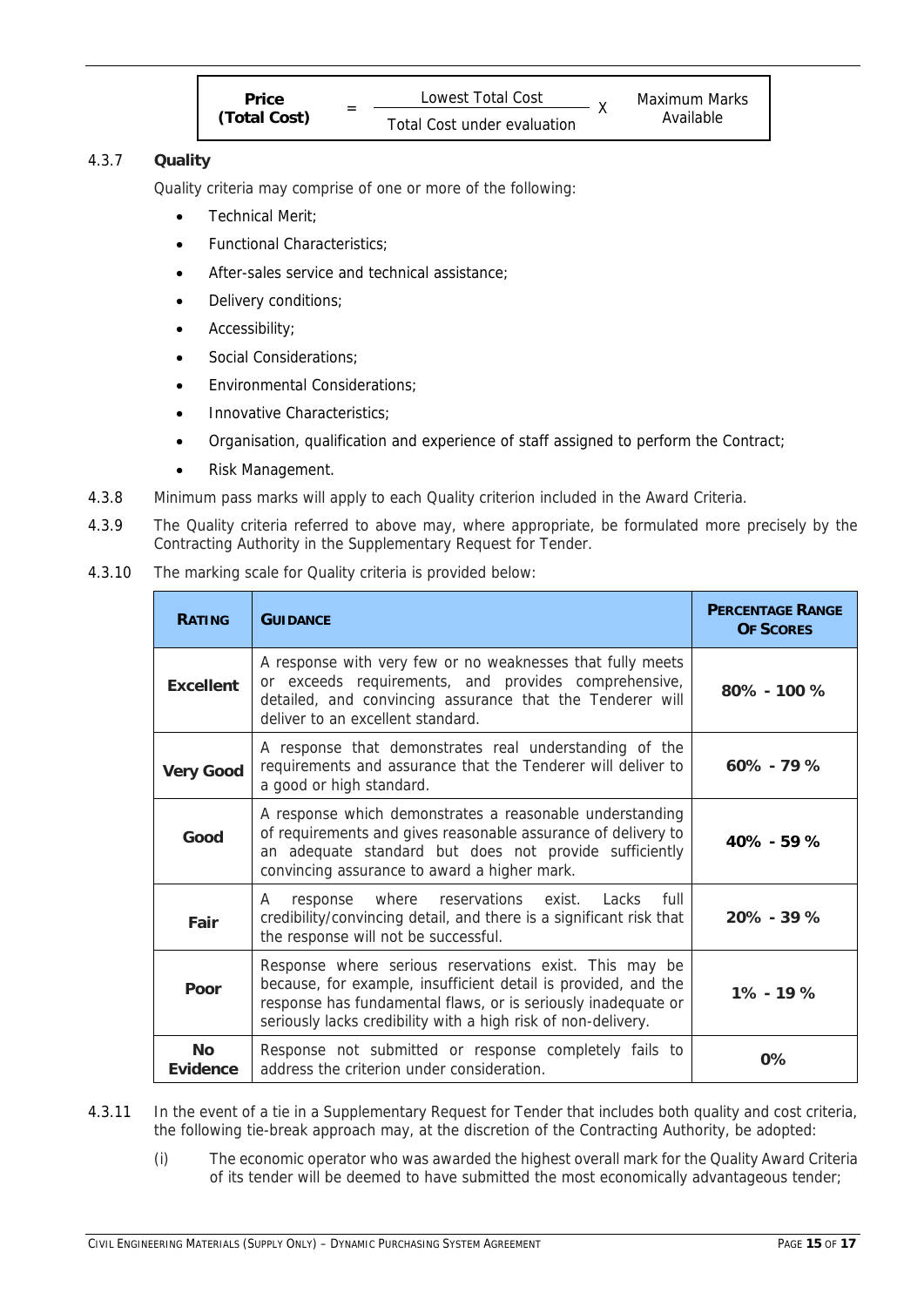| <b>Price</b> | Lowest Total Cost           |  | Maximum Marks |
|--------------|-----------------------------|--|---------------|
| (Total Cost) | Total Cost under evaluation |  | Available     |

# 4.3.7 **Quality**

Quality criteria may comprise of one or more of the following:

- Technical Merit;
- Functional Characteristics;
- After-sales service and technical assistance;
- Delivery conditions;
- Accessibility;
- Social Considerations;
- Environmental Considerations;
- Innovative Characteristics;
- Organisation, qualification and experience of staff assigned to perform the Contract;
- Risk Management.
- 4.3.8 Minimum pass marks will apply to each Quality criterion included in the Award Criteria.
- 4.3.9 The Quality criteria referred to above may, where appropriate, be formulated more precisely by the Contracting Authority in the Supplementary Request for Tender.
- 4.3.10 The marking scale for Quality criteria is provided below:

| <b>RATING</b>         | <b>GUIDANCE</b>                                                                                                                                                                                                                                            | <b>PERCENTAGE RANGE</b><br><b>OF SCORES</b> |  |
|-----------------------|------------------------------------------------------------------------------------------------------------------------------------------------------------------------------------------------------------------------------------------------------------|---------------------------------------------|--|
| <b>Excellent</b>      | A response with very few or no weaknesses that fully meets<br>or exceeds requirements, and provides comprehensive,<br>detailed, and convincing assurance that the Tenderer will<br>deliver to an excellent standard.                                       | $80\% - 100\%$                              |  |
| <b>Very Good</b>      | A response that demonstrates real understanding of the<br>requirements and assurance that the Tenderer will deliver to<br>a good or high standard.                                                                                                         |                                             |  |
| Good                  | A response which demonstrates a reasonable understanding<br>of requirements and gives reasonable assurance of delivery to<br>an adequate standard but does not provide sufficiently<br>convincing assurance to award a higher mark.                        | $40\% - 59\%$                               |  |
| Fair                  | response where reservations exist.<br>Lacks<br>full<br>A<br>credibility/convincing detail, and there is a significant risk that<br>the response will not be successful.                                                                                    | 20% - 39%                                   |  |
| Poor                  | Response where serious reservations exist. This may be<br>because, for example, insufficient detail is provided, and the<br>response has fundamental flaws, or is seriously inadequate or<br>seriously lacks credibility with a high risk of non-delivery. | $1\% - 19\%$                                |  |
| <b>No</b><br>Evidence | Response not submitted or response completely fails to<br>address the criterion under consideration.                                                                                                                                                       |                                             |  |

- 4.3.11 In the event of a tie in a Supplementary Request for Tender that includes both quality and cost criteria, the following tie-break approach may, at the discretion of the Contracting Authority, be adopted:
	- (i) The economic operator who was awarded the highest overall mark for the Quality Award Criteria of its tender will be deemed to have submitted the most economically advantageous tender;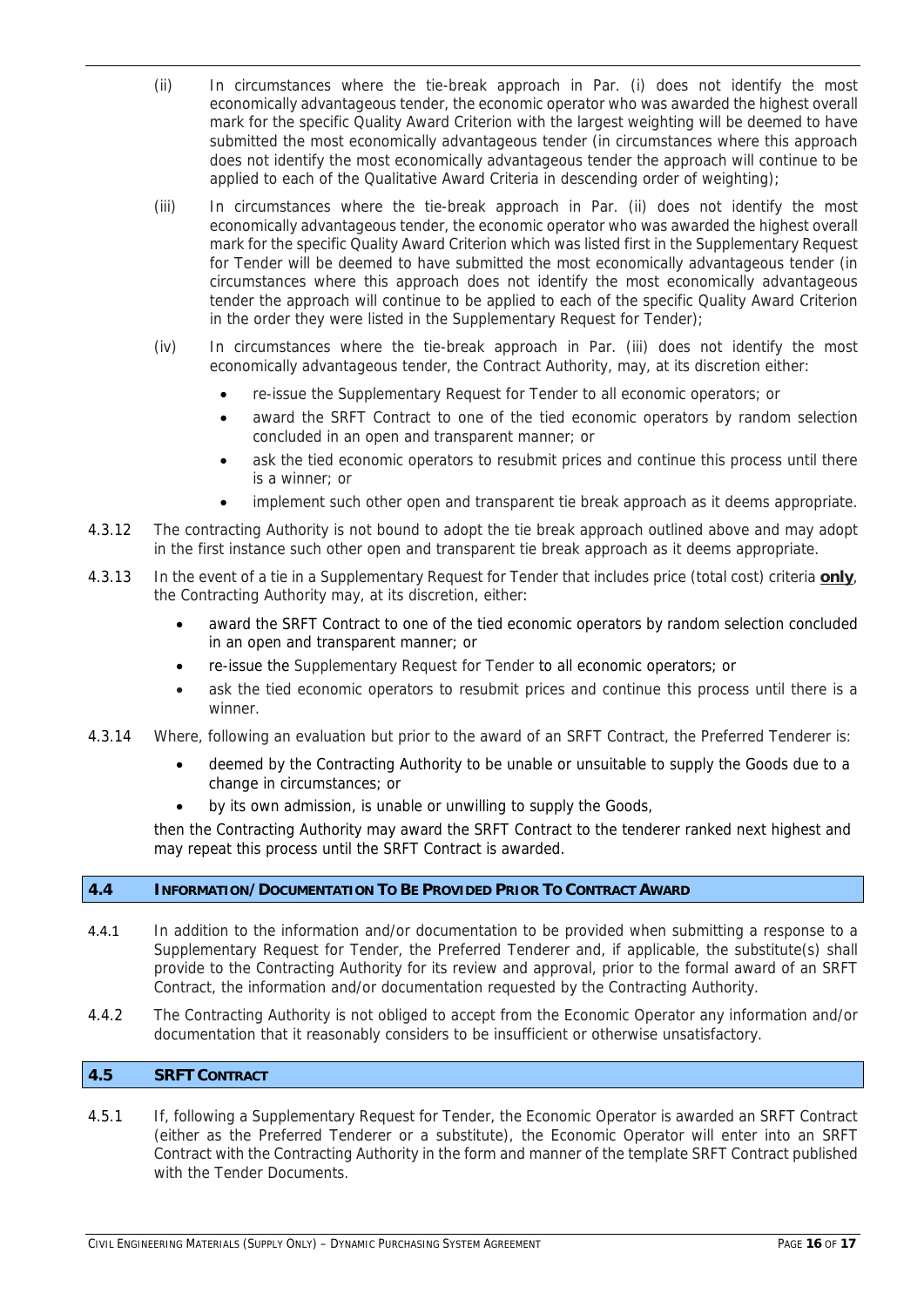- (ii) In circumstances where the tie-break approach in Par. (i) does not identify the most economically advantageous tender, the economic operator who was awarded the highest overall mark for the specific Quality Award Criterion with the largest weighting will be deemed to have submitted the most economically advantageous tender (in circumstances where this approach does not identify the most economically advantageous tender the approach will continue to be applied to each of the Qualitative Award Criteria in descending order of weighting);
- (iii) In circumstances where the tie-break approach in Par. (ii) does not identify the most economically advantageous tender, the economic operator who was awarded the highest overall mark for the specific Quality Award Criterion which was listed first in the Supplementary Request for Tender will be deemed to have submitted the most economically advantageous tender (in circumstances where this approach does not identify the most economically advantageous tender the approach will continue to be applied to each of the specific Quality Award Criterion in the order they were listed in the Supplementary Request for Tender);
- (iv) In circumstances where the tie-break approach in Par. (iii) does not identify the most economically advantageous tender, the Contract Authority, may, at its discretion either:
	- re-issue the Supplementary Request for Tender to all economic operators; or
	- award the SRFT Contract to one of the tied economic operators by random selection concluded in an open and transparent manner; or
	- ask the tied economic operators to resubmit prices and continue this process until there is a winner; or
	- implement such other open and transparent tie break approach as it deems appropriate.
- 4.3.12 The contracting Authority is not bound to adopt the tie break approach outlined above and may adopt in the first instance such other open and transparent tie break approach as it deems appropriate.
- 4.3.13 In the event of a tie in a Supplementary Request for Tender that includes price (total cost) criteria **only**, the Contracting Authority may, at its discretion, either:
	- award the SRFT Contract to one of the tied economic operators by random selection concluded in an open and transparent manner; or
	- re-issue the Supplementary Request for Tender to all economic operators; or
	- ask the tied economic operators to resubmit prices and continue this process until there is a winner.
- 4.3.14 Where, following an evaluation but prior to the award of an SRFT Contract, the Preferred Tenderer is:
	- deemed by the Contracting Authority to be unable or unsuitable to supply the Goods due to a change in circumstances; or
	- by its own admission, is unable or unwilling to supply the Goods,

then the Contracting Authority may award the SRFT Contract to the tenderer ranked next highest and may repeat this process until the SRFT Contract is awarded.

# **4.4 INFORMATION/DOCUMENTATION TO BE PROVIDED PRIOR TO CONTRACT AWARD**

- 4.4.1 In addition to the information and/or documentation to be provided when submitting a response to a Supplementary Request for Tender, the Preferred Tenderer and, if applicable, the substitute(s) shall provide to the Contracting Authority for its review and approval, prior to the formal award of an SRFT Contract, the information and/or documentation requested by the Contracting Authority.
- 4.4.2 The Contracting Authority is not obliged to accept from the Economic Operator any information and/or documentation that it reasonably considers to be insufficient or otherwise unsatisfactory.

# **4.5 SRFT CONTRACT**

4.5.1 If, following a Supplementary Request for Tender, the Economic Operator is awarded an SRFT Contract (either as the Preferred Tenderer or a substitute), the Economic Operator will enter into an SRFT Contract with the Contracting Authority in the form and manner of the template SRFT Contract published with the Tender Documents.